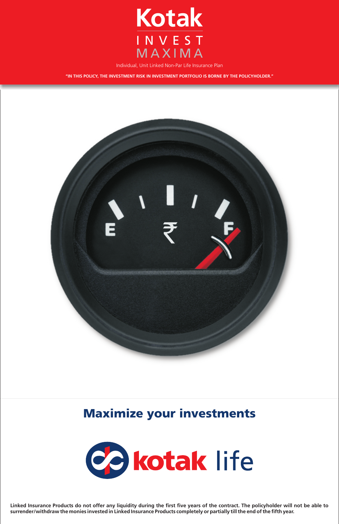

Individual, Unit Linked Non-Par Life Insurance Plan

**"IN THIS POLICY, THE INVESTMENT RISK IN INVESTMENT PORTFOLIO IS BORNE BY THE POLICYHOLDER."**



Maximize your investments



Linked Insurance Products do not offer any liquidity during the first five years of the contract. The policyholder will not be able to<br>surrender/withdraw the monies invested in Linked Insurance Products completely or parti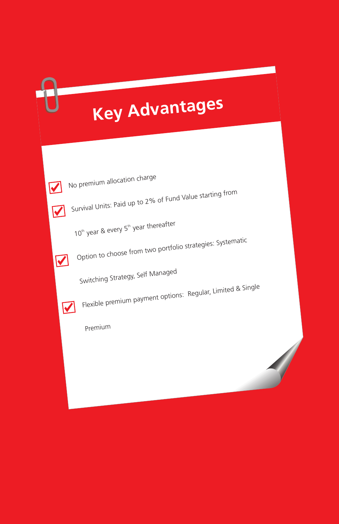# **Key Advantages**



No premium allocation charge

Survival Units: Paid up to 2% of Fund Value starting from



10<sup>th</sup> year & every 5<sup>th</sup> year thereafter



 $\blacktriangledown$ 

Option to choose from two portfolio strategies: Systematic

Switching Strategy, Self Manage<sup>d</sup>

Flexible premium payment options: Regular, Limited & Single

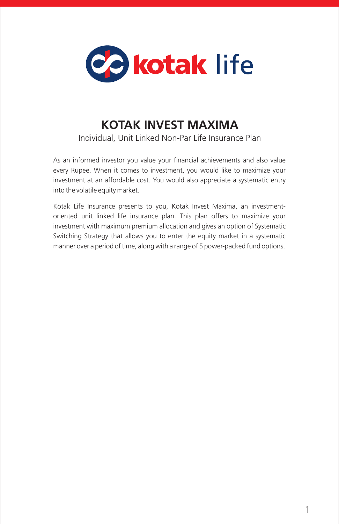

# **KOTAK INVEST MAXIMA**

Individual, Unit Linked Non-Par Life Insurance Plan

As an informed investor you value your financial achievements and also value every Rupee. When it comes to investment, you would like to maximize your investment at an affordable cost. You would also appreciate a systematic entry into the volatile equity market.

Kotak Life Insurance presents to you, Kotak Invest Maxima, an investmentoriented unit linked life insurance plan. This plan offers to maximize your investment with maximum premium allocation and gives an option of Systematic Switching Strategy that allows you to enter the equity market in a systematic manner over a period of time, along with a range of 5 power-packed fund options.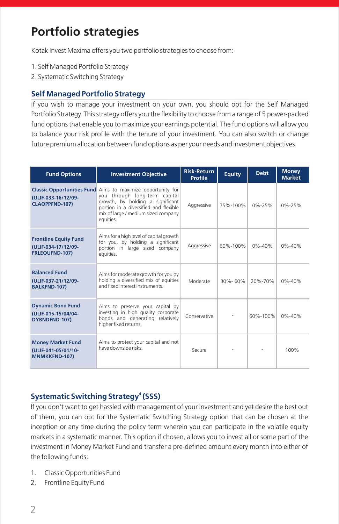# **Portfolio strategies**

Kotak Invest Maxima offers you two portfolio strategies to choose from:

- 1. Self Managed Portfolio Strategy
- 2. Systematic Switching Strategy

## **Self Managed Portfolio Strategy**

If you wish to manage your investment on your own, you should opt for the Self Managed Portfolio Strategy. This strategy offers you the flexibility to choose from a range of 5 power-packed fund options that enable you to maximize your earnings potential. The fund options will allow you to balance your risk profile with the tenure of your investment. You can also switch or change future premium allocation between fund options as per your needs and investment objectives.

| <b>Fund Options</b>                                                          | <b>Investment Objective</b>                                                                                                                                                                                                          | <b>Risk-Return</b><br><b>Profile</b> | <b>Equity</b> | <b>Debt</b>  | <b>Money</b><br><b>Market</b> |
|------------------------------------------------------------------------------|--------------------------------------------------------------------------------------------------------------------------------------------------------------------------------------------------------------------------------------|--------------------------------------|---------------|--------------|-------------------------------|
| (ULIF-033-16/12/09-<br><b>CLAOPPFND-107)</b>                                 | <b>Classic Opportunities Fund</b> Aims to maximize opportunity for<br>you through long-term capital<br>growth, by holding a significant<br>portion in a diversified and flexible<br>mix of large / medium sized company<br>equities. | Aggressive                           | 75%-100%      | $0\% - 25\%$ | $0\% - 25\%$                  |
| <b>Frontline Equity Fund</b><br>(ULIF-034-17/12/09-<br><b>FRLEOUFND-107)</b> | Aims for a high level of capital growth<br>for you, by holding a significant<br>portion in large sized company<br>equities.                                                                                                          | Aggressive                           | 60%-100%      | $0\% - 40\%$ | $0\% - 40\%$                  |
| <b>Balanced Fund</b><br>(ULIF-037-21/12/09-<br><b>BALKFND-107)</b>           | Aims for moderate growth for you by<br>holding a diversified mix of equities<br>and fixed interest instruments                                                                                                                       | Moderate                             | $30\% - 60\%$ | 20%-70%      | $0\% - 40\%$                  |
| <b>Dynamic Bond Fund</b><br>(ULIF-015-15/04/04-<br>DYBNDFND-107)             | Aims to preserve your capital by<br>investing in high quality corporate<br>bonds and generating relatively<br>higher fixed returns.                                                                                                  | Conservative                         |               | 60%-100%     | $0\% - 40\%$                  |
| <b>Money Market Fund</b><br>(ULIF-041-05/01/10-<br><b>MNMKKFND-107)</b>      | Aims to protect your capital and not<br>have downside risks.                                                                                                                                                                         |                                      |               |              | 100%                          |

# **4 Systematic Switching Strategy (SSS)**

If you don't want to get hassled with management of your investment and yet desire the best out of them, you can opt for the Systematic Switching Strategy option that can be chosen at the inception or any time during the policy term wherein you can participate in the volatile equity markets in a systematic manner. This option if chosen, allows you to invest all or some part of the investment in Money Market Fund and transfer a pre-defined amount every month into either of the following funds:

- 1. Classic Opportunities Fund
- 2. Frontline Equity Fund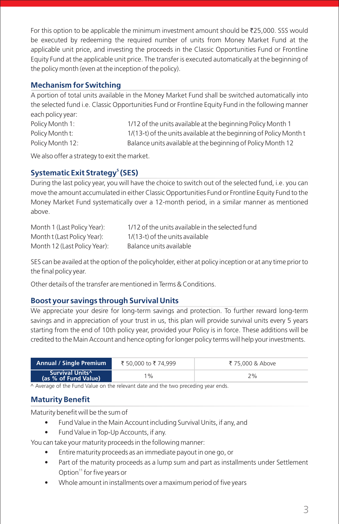For this option to be applicable the minimum investment amount should be  $\bar{\tau}$ 25,000. SSS would be executed by redeeming the required number of units from Money Market Fund at the applicable unit price, and investing the proceeds in the Classic Opportunities Fund or Frontline Equity Fund at the applicable unit price. The transfer is executed automatically at the beginning of the policy month (even at the inception of the policy).

## **Mechanism for Switching**

A portion of total units available in the Money Market Fund shall be switched automatically into the selected fund i.e. Classic Opportunities Fund or Frontline Equity Fund in the following manner each policy year:

| Policy Month 1:  | 1/12 of the units available at the beginning Policy Month 1        |
|------------------|--------------------------------------------------------------------|
| Policy Month t:  | 1/(13-t) of the units available at the beginning of Policy Month t |
| Policy Month 12: | Balance units available at the beginning of Policy Month 12        |

We also offer a strategy to exit the market.

# **5 Systematic Exit Strategy (SES)**

During the last policy year, you will have the choice to switch out of the selected fund, i.e. you can move the amount accumulated in either Classic Opportunities Fund or Frontline Equity Fund to the Money Market Fund systematically over a 12-month period, in a similar manner as mentioned above.

| Month 1 (Last Policy Year):  | 1/12 of the units available in the selected fund |
|------------------------------|--------------------------------------------------|
| Month t (Last Policy Year):  | 1/(13-t) of the units available                  |
| Month 12 (Last Policy Year): | Balance units available                          |

SES can be availed at the option of the policyholder, either at policy inception or at any time prior to the final policy year.

Other details of the transfer are mentioned in Terms & Conditions.

# **Boost your savings through Survival Units**

We appreciate your desire for long-term savings and protection. To further reward long-term savings and in appreciation of your trust in us, this plan will provide survival units every 5 years starting from the end of 10th policy year, provided your Policy is in force. These additions will be credited to the Main Account and hence opting for longer policy terms will help your investments.

| <b>Annual / Single Premium</b>                 | ₹ 50,000 to ₹ 74.999 | ₹ 75,000 & Above |
|------------------------------------------------|----------------------|------------------|
| <b>Survival Units^</b><br>(as % of Fund Value) | $\cdot$ %            | 2%               |

^ Average of the Fund Value on the relevant date and the two preceding year ends.

# **Maturity Benefit**

Maturity benefit will be the sum of

- Fund Value in the Main Account including Survival Units, if any, and
- Fund Value in Top-Up Accounts, if any.

You can take your maturity proceeds in the following manner:

- Entire maturity proceeds as an immediate payout in one go, or
- Part of the maturity proceeds as a lump sum and part as installments under Settlement Option<sup>11</sup> for five years or
- Whole amount in installments over a maximum period of five years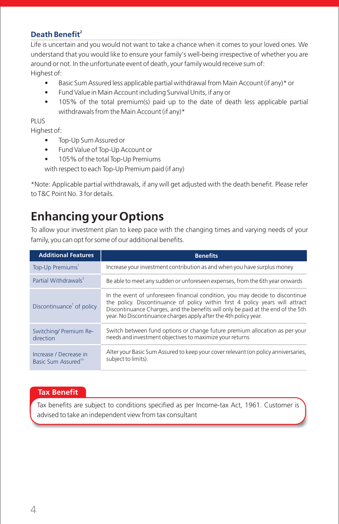# **<sup>2</sup>Death Benefit**

Life is uncertain and you would not want to take a chance when it comes to your loved ones. We understand that you would like to ensure your family's well-being irrespective of whether you are around or not. In the unfortunate event of death, your family would receive sum of: Highest of:

- Basic Sum Assured less applicable partial withdrawal from Main Account (if any)\* or
- Fund Value in Main Account including Survival Units, if any or
- 105% of the total premium(s) paid up to the date of death less applicable partial withdrawals from the Main Account (if any)\*

#### PLUS.

Highest of:

- Top-Up Sum Assured or
- Fund Value of Top-Up Account or
- 105% of the total Top-Up Premiums

with respect to each Top-Up Premium paid (if any)

\*Note: Applicable partial withdrawals, if any will get adjusted with the death benefit. Please refer to T&C Point No. 3 for details.

# **Enhancing your Options**

To allow your investment plan to keep pace with the changing times and varying needs of your family, you can opt for some of our additional benefits.

| <b>Additional Features</b>                                | <b>Benefits</b>                                                                                                                                                                                                                                                                                                        |
|-----------------------------------------------------------|------------------------------------------------------------------------------------------------------------------------------------------------------------------------------------------------------------------------------------------------------------------------------------------------------------------------|
| Top-Up Premiums <sup>1</sup>                              | Increase your investment contribution as and when you have surplus money                                                                                                                                                                                                                                               |
| Partial Withdrawals <sup>3</sup>                          | Be able to meet any sudden or unforeseen expenses, from the 6th year onwards                                                                                                                                                                                                                                           |
| Discontinuance <sup>7</sup> of policy                     | In the event of unforeseen financial condition, you may decide to discontinue<br>the policy. Discontinuance of policy within first 4 policy years will attract<br>Discontinuance Charges, and the benefits will only be paid at the end of the 5th<br>year. No Discontinuance charges apply after the 4th policy year. |
| Switching/ Premium Re-<br>direction                       | Switch between fund options or change future premium allocation as per your<br>needs and investment objectives to maximize your returns                                                                                                                                                                                |
| Increase / Decrease in<br>Basic Sum Assured <sup>10</sup> | Alter your Basic Sum Assured to keep your cover relevant (on policy anniversaries,<br>subject to limits).                                                                                                                                                                                                              |

#### **Tax Benefit**

Tax benefits are subject to conditions specified as per Income-tax Act, 1961. Customer is advised to take an independent view from tax consultant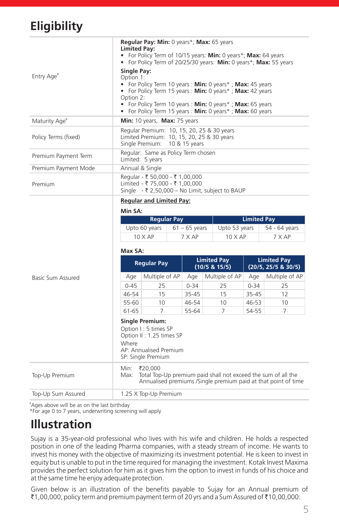# **Eligibility**

| <b>Reqular Pay: Min: 0 years*; Max: 65 years</b><br><b>Limited Pay:</b><br>• For Policy Term of 10/15 years: <b>Min:</b> 0 years*; <b>Max:</b> 64 years<br>• For Policy Term of 20/25/30 years: Min: 0 years*; Max: 55 years<br>Single Pay:<br>Option 1:<br>• For Policy Term 10 years : <b>Min:</b> 0 years*; <b>Max:</b> 45 years<br>• For Policy Term 15 years: <b>Min:</b> 0 years*; <b>Max:</b> 42 years<br>Option 2:<br>• For Policy Term 10 years : <b>Min:</b> 0 years*; <b>Max:</b> 65 years<br>• For Policy Term 15 years : <b>Min:</b> 0 years*; <b>Max:</b> 60 years |
|----------------------------------------------------------------------------------------------------------------------------------------------------------------------------------------------------------------------------------------------------------------------------------------------------------------------------------------------------------------------------------------------------------------------------------------------------------------------------------------------------------------------------------------------------------------------------------|
| Min: 10 years, Max: 75 years                                                                                                                                                                                                                                                                                                                                                                                                                                                                                                                                                     |
| Regular Premium: 10, 15, 20, 25 & 30 years<br>Limited Premium: 10, 15, 20, 25 & 30 years<br>Single Premium: 10 & 15 years                                                                                                                                                                                                                                                                                                                                                                                                                                                        |
| Regular: Same as Policy Term chosen<br>Limited: 5 years                                                                                                                                                                                                                                                                                                                                                                                                                                                                                                                          |
| Annual & Single                                                                                                                                                                                                                                                                                                                                                                                                                                                                                                                                                                  |
| Regular - ₹ 50,000 - ₹ 1,00,000<br>Limited - ₹ 75,000 - ₹ 1,00,000<br>Single - ₹ 2,50,000 – No Limit, subject to BAUP                                                                                                                                                                                                                                                                                                                                                                                                                                                            |
|                                                                                                                                                                                                                                                                                                                                                                                                                                                                                                                                                                                  |

#### **Regular and Limited Pay:**

|                    | Min SA:                                                                                                                             |                                                                                                                                            |  |                 |                                     |                    |                                           |  |
|--------------------|-------------------------------------------------------------------------------------------------------------------------------------|--------------------------------------------------------------------------------------------------------------------------------------------|--|-----------------|-------------------------------------|--------------------|-------------------------------------------|--|
|                    |                                                                                                                                     | <b>Regular Pay</b>                                                                                                                         |  |                 |                                     | <b>Limited Pay</b> |                                           |  |
|                    |                                                                                                                                     | Upto 60 years                                                                                                                              |  | $61 - 65$ years | Upto 53 years                       |                    | 54 - 64 years                             |  |
|                    |                                                                                                                                     | $10 \times AP$                                                                                                                             |  | 7 X AP          | $10 \times AP$                      |                    | 7 X AP                                    |  |
|                    | Max SA:                                                                                                                             |                                                                                                                                            |  |                 |                                     |                    |                                           |  |
|                    |                                                                                                                                     | <b>Regular Pay</b>                                                                                                                         |  |                 | <b>Limited Pay</b><br>(10/5 & 15/5) |                    | <b>Limited Pay</b><br>(20/5, 25/5 & 30/5) |  |
| Basic Sum Assured  | Age                                                                                                                                 | Multiple of AP                                                                                                                             |  | Age             | Multiple of AP                      | Age                | Multiple of AP                            |  |
|                    | $0 - 45$                                                                                                                            | 25                                                                                                                                         |  | $0 - 34$        | 25                                  | $0 - 34$           | 25                                        |  |
|                    | 46-54                                                                                                                               | 15                                                                                                                                         |  | 35-45           | 15                                  | 35-45              | 12                                        |  |
|                    | 55-60                                                                                                                               | 10                                                                                                                                         |  | 46-54           | 10                                  | $46 - 53$          | 10                                        |  |
|                    | 61-65                                                                                                                               | 7                                                                                                                                          |  | 55-64           | 7                                   | 54-55              | 7                                         |  |
|                    | <b>Single Premium:</b><br>Option I: 5 times SP<br>Option II: 1.25 times SP<br>Where<br>AP: Annualised Premium<br>SP: Single Premium |                                                                                                                                            |  |                 |                                     |                    |                                           |  |
| Top-Up Premium     | Min:<br>Max:                                                                                                                        | ₹20,000<br>Total Top-Up premium paid shall not exceed the sum of all the<br>Annualised premiums /Single premium paid at that point of time |  |                 |                                     |                    |                                           |  |
| Top-Up Sum Assured |                                                                                                                                     | 1.25 X Top-Up Premium                                                                                                                      |  |                 |                                     |                    |                                           |  |

#Ages above will be as on the last birthday

\*For age 0 to 7 years, underwriting screening will apply

# **Illustration**

Sujay is a 35-year-old professional who lives with his wife and children. He holds a respected position in one of the leading Pharma companies, with a steady stream of income. He wants to invest his money with the objective of maximizing its investment potential. He is keen to invest in equity but is unable to put in the time required for managing the investment. Kotak Invest Maxima provides the perfect solution for him as it gives him the option to invest in funds of his choice and at the same time he enjoy adequate protection.

Given below is an illustration of the benefits payable to Sujay for an Annual premium of  $\bar{\mathcal{J}}1,00,000$ , policy term and premium payment term of 20 yrs and a Sum Assured of  $\bar{\mathcal{J}}10,00,000$ :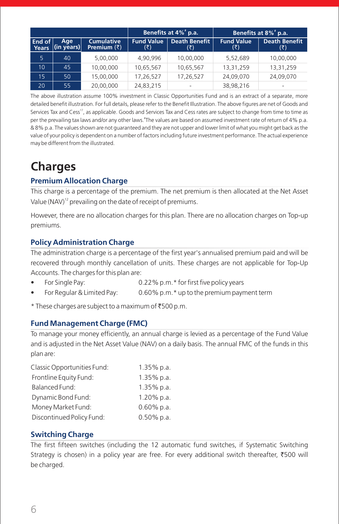|                 |                             |                                          | Benefits at 4% <sup>#</sup> p.a. |                             |                          | Benefits at 8% <sup>*</sup> p.a. |
|-----------------|-----------------------------|------------------------------------------|----------------------------------|-----------------------------|--------------------------|----------------------------------|
| End of<br>Years | Age<br>$(in \text{ years})$ | <b>Cumulative</b><br>Premium $(\bar{z})$ | <b>Fund Value</b><br>(₹)         | <b>Death Benefit</b><br>(₹) | <b>Fund Value</b><br>(₹) | <b>Death Benefit</b><br>(₹)      |
| 5               | 40 <sub>1</sub>             | 5,00,000                                 | 4.90.996                         | 10,00,000                   | 5,52,689                 | 10,00,000                        |
| 10              | 45                          | 10,00,000                                | 10,65,567                        | 10,65,567                   | 13,31,259                | 13,31,259                        |
| 15              | 50                          | 15,00,000                                | 17,26,527                        | 17,26,527                   | 24,09,070                | 24,09,070                        |
| 20              | 55                          | 20,00,000                                | 24,83,215                        |                             | 38,98,216                |                                  |

The above illustration assume 100% investment in Classic Opportunities Fund and is an extract of a separate, more detailed benefit illustration. For full details, please refer to the Benefit Illustration. The above figures are net of Goods and Services Tax and Cess<sup>17</sup>, as applicable. Goods and Services Tax and Cess rates are subject to change from time to time as per the prevailing tax laws and/or any other laws. The values are based on assumed investment rate of return of 4% p.a. & 8% p.a. The values shown are not guaranteed and they are not upper and lower limit of what you might get back as the value of your policy is dependent on a number of factors including future investment performance. The actual experience may be different from the illustrated.

# **Charges**

# **Premium Allocation Charge**

This charge is a percentage of the premium. The net premium is then allocated at the Net Asset Value (NAV)<sup>12</sup> prevailing on the date of receipt of premiums.

However, there are no allocation charges for this plan. There are no allocation charges on Top-up premiums.

# **Policy Administration Charge**

The administration charge is a percentage of the first year's annualised premium paid and will be recovered through monthly cancellation of units. These charges are not applicable for Top-Up Accounts. The charges for this plan are:

- For Single Pay: 0.22% p.m.\* for first five policy years
- For Regular & Limited Pay: 0.60% p.m.\* up to the premium payment term

\* These charges are subject to a maximum of  $\text{\texttt{\$}500 p.m.}$ 

## **Fund Management Charge (FMC)**

To manage your money efficiently, an annual charge is levied as a percentage of the Fund Value and is adjusted in the Net Asset Value (NAV) on a daily basis. The annual FMC of the funds in this plan are:

| 1.35% p.a.    |
|---------------|
| $1.35\%$ p.a. |
| $1.35\%$ p.a. |
| 1.20% p.a.    |
| 0.60% p.a.    |
| 0.50% p.a.    |
|               |

## **Switching Charge**

The first fifteen switches (including the 12 automatic fund switches, if Systematic Switching Strategy is chosen) in a policy year are free. For every additional switch thereafter,  $\overline{500}$  will be charged.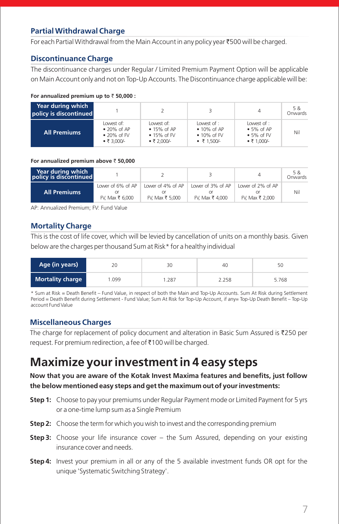# **Partial Withdrawal Charge**

For each Partial Withdrawal from the Main Account in any policy year ₹500 will be charged.

#### **Discontinuance Charge**

The discontinuance charges under Regular / Limited Premium Payment Option will be applicable on Main Account only and not on Top-Up Accounts. The Discontinuance charge applicable will be:

#### **For annualized premium up to** ` **50,000 :**

| Year during which<br>policy is discontinued |                                                                                 |                                                                                 |                                                                           | 4                                                                            | 5 &<br>Onwards |
|---------------------------------------------|---------------------------------------------------------------------------------|---------------------------------------------------------------------------------|---------------------------------------------------------------------------|------------------------------------------------------------------------------|----------------|
| <b>All Premiums</b>                         | Lowest of:<br>$\bullet$ 20% of AP<br>$\bullet$ 20% of FV<br>$\bullet$ ₹ 3.000/- | Lowest of:<br>$\bullet$ 15% of AP<br>$\bullet$ 15% of FV<br>$\bullet \t{7.000}$ | l owest of :<br>$\bullet$ 10% of AP<br>$\bullet$ 10% of FV<br>• ₹ 1.500/- | lower of:<br>$\bullet$ 5% of AP<br>$\bullet$ 5% of FV<br>$\bullet$ ₹ 1.000/- | Nil            |

**For annualized premium above** ` **50,000**

| Year during which<br>policy is discontinued |                                      |                                      |                                      | 4                                    | 5 &<br>Onwards |
|---------------------------------------------|--------------------------------------|--------------------------------------|--------------------------------------|--------------------------------------|----------------|
| <b>All Premiums</b>                         | Lower of 6% of AP<br>FV. Max ₹ 6.000 | Lower of 4% of AP<br>FV. Max ₹ 5.000 | Lower of 3% of AP<br>FV. Max ₹ 4.000 | Lower of 2% of AP<br>FV. Max ₹ 2.000 | Nil            |

AP: Annualized Premium; FV: Fund Value

## **Mortality Charge**

This is the cost of life cover, which will be levied by cancellation of units on a monthly basis. Given below are the charges per thousand Sum at Risk\* for a healthy individual

| Age (in years)          | 20<br>30 |      | 40    | 50    |  |
|-------------------------|----------|------|-------|-------|--|
| <b>Mortality charge</b> | 1.099    | .287 | 2.258 | 5.768 |  |

\* Sum at Risk = Death Benefit – Fund Value, in respect of both the Main and Top-Up Accounts. Sum At Risk during Settlement Period = Death Benefit during Settlement - Fund Value; Sum At Risk for Top-Up Account, if any= Top-Up Death Benefit – Top-Up account Fund Value

# **Miscellaneous Charges**

The charge for replacement of policy document and alteration in Basic Sum Assured is  $\overline{2}250$  per request. For premium redirection, a fee of  $\bar{\mathcal{E}}$ 100 will be charged.

# **Maximize your investment in 4 easy steps**

## **Now that you are aware of the Kotak Invest Maxima features and benefits, just follow the below mentioned easy steps and get the maximum out of your investments:**

- **Step 1:** Choose to pay your premiums under Regular Payment mode or Limited Payment for 5 yrs or a one-time lump sum as a Single Premium
- **Step 2:** Choose the term for which you wish to invest and the corresponding premium
- **Step 3:** Choose your life insurance cover the Sum Assured, depending on your existing insurance cover and needs.
- **Step 4:** Invest your premium in all or any of the 5 available investment funds OR opt for the unique 'Systematic Switching Strategy'.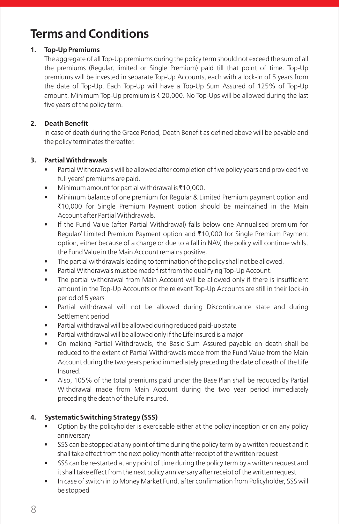# **Terms and Conditions**

## **1. Top-Up Premiums**

The aggregate of all Top-Up premiums during the policy term should not exceed the sum of all the premiums (Regular, limited or Single Premium) paid till that point of time. Top-Up premiums will be invested in separate Top-Up Accounts, each with a lock-in of 5 years from the date of Top-Up. Each Top-Up will have a Top-Up Sum Assured of 125% of Top-Up amount. Minimum Top-Up premium is  $\bar{\tau}$  20,000. No Top-Ups will be allowed during the last five years of the policy term.

### **2. Death Benefit**

In case of death during the Grace Period, Death Benefit as defined above will be payable and the policy terminates thereafter.

#### **3. Partial Withdrawals**

- Partial Withdrawals will be allowed after completion of five policy years and provided five full years' premiums are paid.
- Minimum amount for partial withdrawal is  $\bar{x}$ 10,000.
- Minimum balance of one premium for Regular & Limited Premium payment option and ₹10,000 for Single Premium Payment option should be maintained in the Main Account after Partial Withdrawals.
- If the Fund Value (after Partial Withdrawal) falls below one Annualised premium for Regular/ Limited Premium Payment option and ₹10,000 for Single Premium Payment option, either because of a charge or due to a fall in NAV, the policy will continue whilst the Fund Value in the Main Account remains positive.
- The partial withdrawals leading to termination of the policy shall not be allowed.
- Partial Withdrawals must be made first from the qualifying Top-Up Account.
- The partial withdrawal from Main Account will be allowed only if there is insufficient amount in the Top-Up Accounts or the relevant Top-Up Accounts are still in their lock-in period of 5 years
- Partial withdrawal will not be allowed during Discontinuance state and during Settlement period
- Partial withdrawal will be allowed during reduced paid-up state
- Partial withdrawal will be allowed only if the Life Insured is a major
- On making Partial Withdrawals, the Basic Sum Assured payable on death shall be reduced to the extent of Partial Withdrawals made from the Fund Value from the Main Account during the two years period immediately preceding the date of death of the Life Insured.
- Also, 105% of the total premiums paid under the Base Plan shall be reduced by Partial Withdrawal made from Main Account during the two year period immediately preceding the death of the Life insured.

## **4. Systematic Switching Strategy (SSS)**

- Option by the policyholder is exercisable either at the policy inception or on any policy anniversary
- SSS can be stopped at any point of time during the policy term by a written request and it shall take effect from the next policy month after receipt of the written request
- SSS can be re-started at any point of time during the policy term by a written request and it shall take effect from the next policy anniversary after receipt of the written request
- In case of switch in to Money Market Fund, after confirmation from Policyholder, SSS will be stopped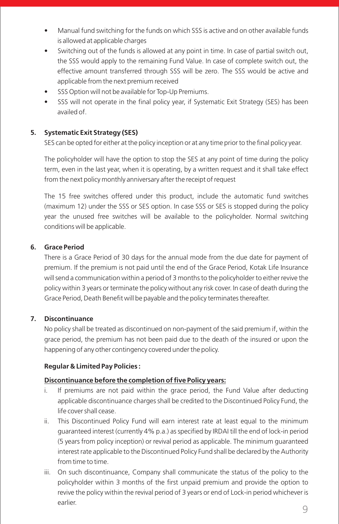- Manual fund switching for the funds on which SSS is active and on other available funds is allowed at applicable charges
- Switching out of the funds is allowed at any point in time. In case of partial switch out, the SSS would apply to the remaining Fund Value. In case of complete switch out, the effective amount transferred through SSS will be zero. The SSS would be active and applicable from the next premium received
- SSS Option will not be available for Top-Up Premiums.
- SSS will not operate in the final policy year, if Systematic Exit Strategy (SES) has been availed of.

### **5. Systematic Exit Strategy (SES)**

SES can be opted for either at the policy inception or at any time prior to the final policy year.

The policyholder will have the option to stop the SES at any point of time during the policy term, even in the last year, when it is operating, by a written request and it shall take effect from the next policy monthly anniversary after the receipt of request

The 15 free switches offered under this product, include the automatic fund switches (maximum 12) under the SSS or SES option. In case SSS or SES is stopped during the policy year the unused free switches will be available to the policyholder. Normal switching conditions will be applicable.

#### **6. Grace Period**

There is a Grace Period of 30 days for the annual mode from the due date for payment of premium. If the premium is not paid until the end of the Grace Period, Kotak Life Insurance will send a communication within a period of 3 months to the policyholder to either revive the policy within 3 years or terminate the policy without any risk cover. In case of death during the Grace Period, Death Benefit will be payable and the policy terminates thereafter.

#### **7. Discontinuance**

No policy shall be treated as discontinued on non-payment of the said premium if, within the grace period, the premium has not been paid due to the death of the insured or upon the happening of any other contingency covered under the policy.

#### **Regular & Limited Pay Policies :**

#### **Discontinuance before the completion of five Policy years:**

- i. If premiums are not paid within the grace period, the Fund Value after deducting applicable discontinuance charges shall be credited to the Discontinued Policy Fund, the life cover shall cease.
- ii. This Discontinued Policy Fund will earn interest rate at least equal to the minimum guaranteed interest (currently 4% p.a.) as specified by IRDAI till the end of lock-in period (5 years from policy inception) or revival period as applicable. The minimum guaranteed interest rate applicable to the Discontinued Policy Fund shall be declared by the Authority from time to time.
- iii. On such discontinuance, Company shall communicate the status of the policy to the policyholder within 3 months of the first unpaid premium and provide the option to revive the policy within the revival period of 3 years or end of Lock-in period whichever is earlier.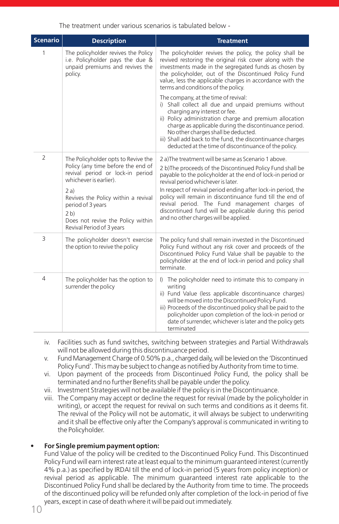The treatment under various scenarios is tabulated below -

| Scenario       | <b>Description</b>                                                                                                                                                                                                                                                                              | <b>Treatment</b>                                                                                                                                                                                                                                                                                                                                                                                                                                                                                           |  |
|----------------|-------------------------------------------------------------------------------------------------------------------------------------------------------------------------------------------------------------------------------------------------------------------------------------------------|------------------------------------------------------------------------------------------------------------------------------------------------------------------------------------------------------------------------------------------------------------------------------------------------------------------------------------------------------------------------------------------------------------------------------------------------------------------------------------------------------------|--|
| 1              | The policyholder revives the Policy<br>i.e. Policyholder pays the due &<br>unpaid premiums and revives the<br>policy.                                                                                                                                                                           | The policyholder revives the policy, the policy shall be<br>revived restoring the original risk cover along with the<br>investments made in the segregated funds as chosen by<br>the policyholder, out of the Discontinued Policy Fund<br>value, less the applicable charges in accordance with the<br>terms and conditions of the policy.                                                                                                                                                                 |  |
|                |                                                                                                                                                                                                                                                                                                 | The company, at the time of revival:<br>i) Shall collect all due and unpaid premiums without<br>charging any interest or fee.<br>ii) Policy administration charge and premium allocation<br>charge as applicable during the discontinuance period.<br>No other charges shall be deducted.<br>iii) Shall add back to the fund, the discontinuance charges<br>deducted at the time of discontinuance of the policy.                                                                                          |  |
| $\overline{2}$ | The Policyholder opts to Revive the<br>Policy (any time before the end of<br>revival period or lock-in period<br>whichever is earlier).<br>2 a)<br>Revives the Policy within a revival<br>period of 3 years<br>2 <sub>b</sub><br>Does not revive the Policy within<br>Revival Period of 3 years | 2 a)The treatment will be same as Scenario 1 above.<br>2 b) The proceeds of the Discontinued Policy Fund shall be<br>payable to the policyholder at the end of lock-in period or<br>revival period whichever is later.<br>In respect of revival period ending after lock-in period, the<br>policy will remain in discontinuance fund till the end of<br>revival period. The Fund management charges of<br>discontinued fund will be applicable during this period<br>and no other charges will be applied. |  |
| 3              | The policyholder doesn't exercise<br>the option to revive the policy                                                                                                                                                                                                                            | The policy fund shall remain invested in the Discontinued<br>Policy Fund without any risk cover and proceeds of the<br>Discontinued Policy Fund Value shall be payable to the<br>policyholder at the end of lock-in period and policy shall<br>terminate                                                                                                                                                                                                                                                   |  |
| 4              | The policyholder has the option to<br>surrender the policy                                                                                                                                                                                                                                      | I) The policyholder need to intimate this to company in<br>writing<br>ii) Fund Value (less applicable discontinuance charges)<br>will be moved into the Discontinued Policy Fund.<br>iii) Proceeds of the discontinued policy shall be paid to the<br>policyholder upon completion of the lock-in period or<br>date of surrender, whichever is later and the policy gets<br>terminated                                                                                                                     |  |

- iv. Facilities such as fund switches, switching between strategies and Partial Withdrawals will not be allowed during this discontinuance period.
- v. Fund Management Charge of 0.50% p.a., charged daily, will be levied on the 'Discontinued Policy Fund'. This may be subject to change as notified by Authority from time to time.
- vi. Upon payment of the proceeds from Discontinued Policy Fund, the policy shall be terminated and no further Benefits shall be payable under the policy.
- vii. Investment Strategies will not be available if the policy is in the Discontinuance.
- viii. The Company may accept or decline the request for revival (made by the policyholder in writing), or accept the request for revival on such terms and conditions as it deems fit. The revival of the Policy will not be automatic, it will always be subject to underwriting and it shall be effective only after the Company's approval is communicated in writing to the Policyholder.

#### **• For Single premium payment option:**

Fund Value of the policy will be credited to the Discontinued Policy Fund. This Discontinued Policy Fund will earn interest rate at least equal to the minimum guaranteed interest (currently 4% p.a.) as specified by IRDAI till the end of lock-in period (5 years from policy inception) or revival period as applicable. The minimum guaranteed interest rate applicable to the Discontinued Policy Fund shall be declared by the Authority from time to time. The proceeds of the discontinued policy will be refunded only after completion of the lock-in period of five years, except in case of death where it will be paid out immediately.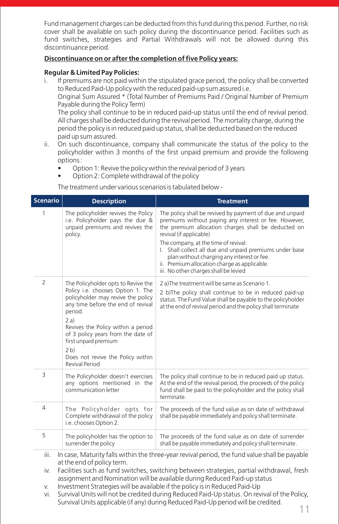Fund management charges can be deducted from this fund during this period. Further, no risk cover shall be available on such policy during the discontinuance period. Facilities such as fund switches, strategies and Partial Withdrawals will not be allowed during this discontinuance period.

#### **Discontinuance on or after the completion of five Policy years:**

#### **Regular & Limited Pay Policies:**

i. If premiums are not paid within the stipulated grace period, the policy shall be converted to Reduced Paid-Up policy with the reduced paid-up sum assured i.e. Original Sum Assured \* (Total Number of Premiums Paid / Original Number of Premium Payable during the Policy Term) The policy shall continue to be in reduced paid-up status until the end of revival period. All charges shall be deducted during the revival period. The mortality charge, during the period the policy is in reduced paid up status, shall be deducted based on the reduced paid up sum assured.

- ii. On such discontinuance, company shall communicate the status of the policy to the policyholder within 3 months of the first unpaid premium and provide the following options :
	- Option 1: Revive the policy within the revival period of 3 years
	- Option 2: Complete withdrawal of the policy

The treatment under various scenarios is tabulated below -

| <b>Scenario</b> | <b>Description</b>                                                                                                                                                                                                                                                                                                                                  | <b>Treatment</b>                                                                                                                                                                                                                                                                                                                                                                                                                              |
|-----------------|-----------------------------------------------------------------------------------------------------------------------------------------------------------------------------------------------------------------------------------------------------------------------------------------------------------------------------------------------------|-----------------------------------------------------------------------------------------------------------------------------------------------------------------------------------------------------------------------------------------------------------------------------------------------------------------------------------------------------------------------------------------------------------------------------------------------|
| 1               | The policyholder revives the Policy<br>i.e. Policyholder pays the due &<br>unpaid premiums and revives the<br>policy.                                                                                                                                                                                                                               | The policy shall be revived by payment of due and unpaid<br>premiums without paying any interest or fee. However,<br>the premium allocation charges shall be deducted on<br>revival (if applicable)<br>The company, at the time of revival:<br>I. Shall collect all due and unpaid premiums under base<br>plan without charging any interest or fee.<br>ii. Premium allocation charge as applicable.<br>iii. No other charges shall be levied |
| 2               | The Policyholder opts to Revive the<br>Policy i.e. chooses Option 1. The<br>policyholder may revive the policy<br>any time before the end of revival<br>period.<br>2a)<br>Revives the Policy within a period<br>of 3 policy years from the date of<br>first unpaid premium<br>2 <sub>b</sub><br>Does not revive the Policy within<br>Revival Period | 2 a) The treatment will be same as Scenario 1.<br>2 b)The policy shall continue to be in reduced paid-up<br>status. The Fund Value shall be payable to the policyholder<br>at the end of revival period and the policy shall terminate                                                                                                                                                                                                        |
| 3               | The Policyholder doesn't exercises<br>any options mentioned in the<br>communication letter                                                                                                                                                                                                                                                          | The policy shall continue to be in reduced paid up status.<br>At the end of the revival period, the proceeds of the policy<br>fund shall be paid to the policyholder and the policy shall<br>terminate.                                                                                                                                                                                                                                       |
| $\overline{4}$  | The Policyholder opts for<br>Complete withdrawal of the policy<br>i.e. chooses Option 2.                                                                                                                                                                                                                                                            | The proceeds of the fund value as on date of withdrawal<br>shall be payable immediately and policy shall terminate.                                                                                                                                                                                                                                                                                                                           |
| 5               | The policyholder has the option to<br>surrender the policy                                                                                                                                                                                                                                                                                          | The proceeds of the fund value as on date of surrender<br>shall be payable immediately and policy shall terminate.                                                                                                                                                                                                                                                                                                                            |
| iii.<br>iv.     | at the end of policy term.                                                                                                                                                                                                                                                                                                                          | In case, Maturity falls within the three-year revival period, the fund value shall be payable<br>Facilities such as fund switches, switching between strategies, partial withdrawal, fresh<br>assignment and Nomination will be available during Reduced Paid-up status<br>المستحدث والمستحدث المستوقف والمتحال والمتحال المتحال والمتحال والمستحدث والمتحال والمستحدث والمستحدث والمستحدث                                                    |

- Investment Strategies will be available if the policy is in Reduced Paid-Up
- vi. Survival Units will not be credited during Reduced Paid-Up status. On revival of the Policy, Survival Units applicable (if any) during Reduced Paid-Up period will be credited.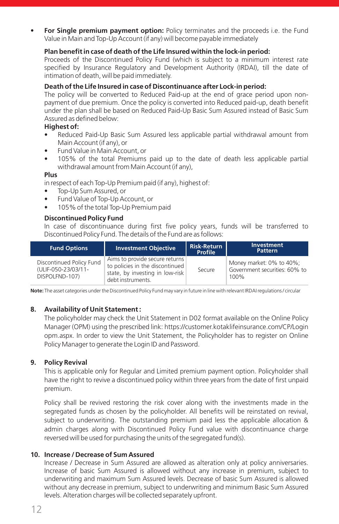**• For Single premium payment option:** Policy terminates and the proceeds i.e. the Fund Value in Main and Top-Up Account (if any) will become payable immediately

#### **Plan benefit in case of death of the Life Insured within the lock-in period:**

Proceeds of the Discontinued Policy Fund (which is subject to a minimum interest rate specified by Insurance Regulatory and Development Authority (IRDAI), till the date of intimation of death, will be paid immediately.

#### **Death of the Life Insured in case of Discontinuance after Lock-in period:**

The policy will be converted to Reduced Paid-up at the end of grace period upon nonpayment of due premium. Once the policy is converted into Reduced paid-up, death benefit under the plan shall be based on Reduced Paid-Up Basic Sum Assured instead of Basic Sum Assured as defined below:

#### **Highest of:**

- **•** Reduced Paid-Up Basic Sum Assured less applicable partial withdrawal amount from Main Account (if any), or
- **•** Fund Value in Main Account, or
- **•** 105% of the total Premiums paid up to the date of death less applicable partial withdrawal amount from Main Account (if any),

#### **Plus**

in respect of each Top-Up Premium paid (if any), highest of:

- **•** Top-Up Sum Assured, or
- **•** Fund Value of Top-Up Account, or
- **•** 105% of the total Top-Up Premium paid

#### **Discontinued Policy Fund**

In case of discontinuance during first five policy years, funds will be transferred to Discontinued Policy Fund. The details of the Fund are as follows:

| <b>Fund Options</b>                                               | <b>Investment Objective</b>                                                                                               | <b>Risk-Return</b><br>Profile | <b>Investment</b><br><b>Pattern</b>                               |
|-------------------------------------------------------------------|---------------------------------------------------------------------------------------------------------------------------|-------------------------------|-------------------------------------------------------------------|
| Discontinued Policy Fund<br>(ULIF-050-23/03/11-<br>DISPOLFND-107) | Aims to provide secure returns<br>to policies in the discontinued<br>state, by investing in low-risk<br>debt instruments. | Secure                        | Money market: 0% to 40%;<br>Government securities: 60% to<br>100% |

**Note:** The asset categories under the Discontinued Policy Fund may vary in future in line with relevant IRDAI regulations / circular

#### **8. Availability of Unit Statement :**

The policyholder may check the Unit Statement in D02 format available on the Online Policy Manager (OPM) using the prescribed link: https://customer.kotaklifeinsurance.com/CP/Login opm.aspx. In order to view the Unit Statement, the Policyholder has to register on Online Policy Manager to generate the Login ID and Password.

#### **9. Policy Revival**

This is applicable only for Regular and Limited premium payment option. Policyholder shall have the right to revive a discontinued policy within three years from the date of first unpaid premium.

Policy shall be revived restoring the risk cover along with the investments made in the segregated funds as chosen by the policyholder. All benefits will be reinstated on revival, subject to underwriting. The outstanding premium paid less the applicable allocation & admin charges along with Discontinued Policy Fund value with discontinuance charge reversed will be used for purchasing the units of the segregated fund(s).

#### **10. Increase / Decrease of Sum Assured**

Increase / Decrease in Sum Assured are allowed as alteration only at policy anniversaries. Increase of basic Sum Assured is allowed without any increase in premium, subject to underwriting and maximum Sum Assured levels. Decrease of basic Sum Assured is allowed without any decrease in premium, subject to underwriting and minimum Basic Sum Assured levels. Alteration charges will be collected separately upfront.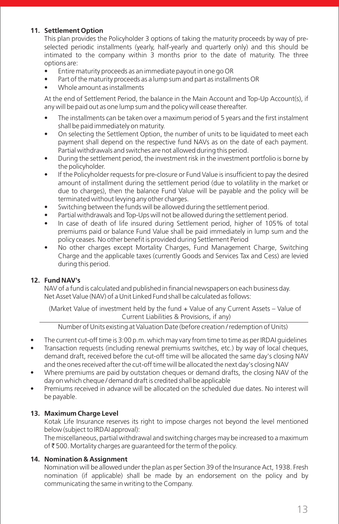### **11. Settlement Option**

This plan provides the Policyholder 3 options of taking the maturity proceeds by way of preselected periodic installments (yearly, half-yearly and quarterly only) and this should be intimated to the company within 3 months prior to the date of maturity. The three options are:

- Entire maturity proceeds as an immediate payout in one go OR
- Part of the maturity proceeds as a lump sum and part as installments OR
- Whole amount as installments

At the end of Settlement Period, the balance in the Main Account and Top-Up Account(s), if any will be paid out as one lump sum and the policy will cease thereafter.

- The installments can be taken over a maximum period of 5 years and the first instalment shall be paid immediately on maturity.
- On selecting the Settlement Option, the number of units to be liquidated to meet each payment shall depend on the respective fund NAVs as on the date of each payment. Partial withdrawals and switches are not allowed during this period.
- During the settlement period, the investment risk in the investment portfolio is borne by the policyholder.
- If the Policyholder requests for pre-closure or Fund Value is insufficient to pay the desired amount of installment during the settlement period (due to volatility in the market or due to charges), then the balance Fund Value will be payable and the policy will be terminated without levying any other charges.
- Switching between the funds will be allowed during the settlement period.
- Partial withdrawals and Top-Ups will not be allowed during the settlement period.
- In case of death of life insured during Settlement period, higher of 105% of total premiums paid or balance Fund Value shall be paid immediately in lump sum and the policy ceases. No other benefit is provided during Settlement Period
- No other charges except Mortality Charges, Fund Management Charge, Switching Charge and the applicable taxes (currently Goods and Services Tax and Cess) are levied during this period.

#### **12. Fund NAV's**

NAV of a fund is calculated and published in financial newspapers on each business day. Net Asset Value (NAV) of a Unit Linked Fund shall be calculated as follows:

(Market Value of investment held by the fund + Value of any Current Assets – Value of Current Liabilities & Provisions, if any)

Number of Units existing at Valuation Date (before creation / redemption of Units)

- The current cut-off time is 3:00 p.m. which may vary from time to time as per IRDAI quidelines
- Transaction requests (including renewal premiums switches, etc.) by way of local cheques, demand draft, received before the cut-off time will be allocated the same day's closing NAV and the ones received after the cut-off time will be allocated the next day's closing NAV
- Where premiums are paid by outstation cheques or demand drafts, the closing NAV of the day on which cheque / demand draft is credited shall be applicable
- Premiums received in advance will be allocated on the scheduled due dates. No interest will be payable.

#### **13. Maximum Charge Level**

Kotak Life Insurance reserves its right to impose charges not beyond the level mentioned below (subject to IRDAI approval):

The miscellaneous, partial withdrawal and switching charges may be increased to a maximum of  $\bar{\tau}$  500. Mortality charges are guaranteed for the term of the policy.

#### **14. Nomination & Assignment**

Nomination will be allowed under the plan as per Section 39 of the Insurance Act, 1938. Fresh nomination (if applicable) shall be made by an endorsement on the policy and by communicating the same in writing to the Company.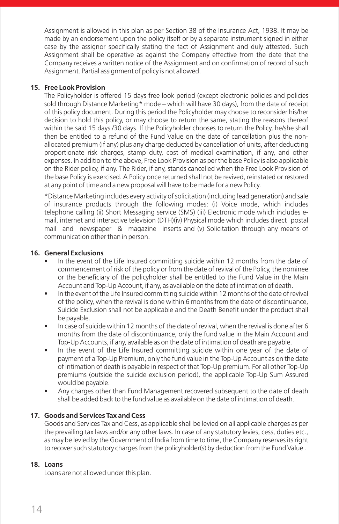Assignment is allowed in this plan as per Section 38 of the Insurance Act, 1938. It may be made by an endorsement upon the policy itself or by a separate instrument signed in either case by the assignor specifically stating the fact of Assignment and duly attested. Such Assignment shall be operative as against the Company effective from the date that the Company receives a written notice of the Assignment and on confirmation of record of such Assignment. Partial assignment of policy is not allowed.

#### **15. Free Look Provision**

The Policyholder is offered 15 days free look period (except electronic policies and policies sold through Distance Marketing\* mode – which will have 30 days), from the date of receipt of this policy document. During this period the Policyholder may choose to reconsider his/her decision to hold this policy, or may choose to return the same, stating the reasons thereof within the said 15 days /30 days. If the Policyholder chooses to return the Policy, he/she shall then be entitled to a refund of the Fund Value on the date of cancellation plus the nonallocated premium (if any) plus any charge deducted by cancellation of units, after deducting proportionate risk charges, stamp duty, cost of medical examination, if any, and other expenses. In addition to the above, Free Look Provision as per the base Policy is also applicable on the Rider policy, if any. The Rider, if any, stands cancelled when the Free Look Provision of the base Policy is exercised. A Policy once returned shall not be revived, reinstated or restored at any point of time and a new proposal will have to be made for a new Policy.

\*Distance Marketing includes every activity of solicitation (including lead generation) and sale of insurance products through the following modes: (i) Voice mode, which includes telephone calling (ii) Short Messaging service (SMS) (iii) Electronic mode which includes email, internet and interactive television (DTH)(iv) Physical mode which includes direct postal mail and newspaper & magazine inserts and (v) Solicitation through any means of communication other than in person.

#### **16. General Exclusions**

- In the event of the Life Insured committing suicide within 12 months from the date of commencement of risk of the policy or from the date of revival of the Policy, the nominee or the beneficiary of the policyholder shall be entitled to the Fund Value in the Main Account and Top-Up Account, if any, as available on the date of intimation of death.
- In the event of the Life Insured committing suicide within 12 months of the date of revival of the policy, when the revival is done within 6 months from the date of discontinuance, Suicide Exclusion shall not be applicable and the Death Benefit under the product shall be payable.
- In case of suicide within 12 months of the date of revival, when the revival is done after 6 months from the date of discontinuance, only the fund value in the Main Account and Top-Up Accounts, if any, available as on the date of intimation of death are payable.
- In the event of the Life Insured committing suicide within one year of the date of payment of a Top-Up Premium, only the fund value in the Top-Up Account as on the date of intimation of death is payable in respect of that Top-Up premium. For all other Top-Up premiums (outside the suicide exclusion period), the applicable Top-Up Sum Assured would be payable.
- Any charges other than Fund Management recovered subsequent to the date of death shall be added back to the fund value as available on the date of intimation of death.

#### **17. Goods and Services Tax and Cess**

Goods and Services Tax and Cess, as applicable shall be levied on all applicable charges as per the prevailing tax laws and/or any other laws. In case of any statutory levies, cess, duties etc., as may be levied by the Government of India from time to time, the Company reserves its right to recover such statutory charges from the policyholder(s) by deduction from the Fund Value .

#### **18. Loans**

Loans are not allowed under this plan.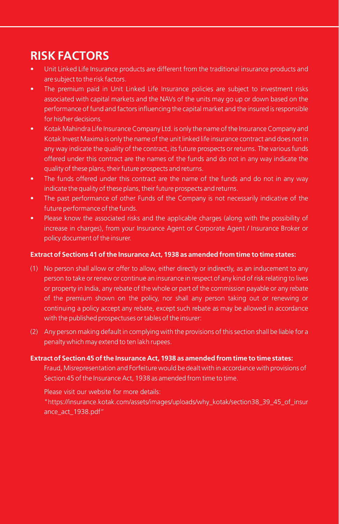# **RISK FACTORS**

- Unit Linked Life Insurance products are different from the traditional insurance products and are subject to the risk factors.
- The premium paid in Unit Linked Life Insurance policies are subject to investment risks associated with capital markets and the NAVs of the units may go up or down based on the performance of fund and factors influencing the capital market and the insured is responsible for his/her decisions.
- Kotak Mahindra Life Insurance Company Ltd. is only the name of the Insurance Company and Kotak Invest Maxima is only the name of the unit linked life insurance contract and does not in any way indicate the quality of the contract, its future prospects or returns. The various funds offered under this contract are the names of the funds and do not in any way indicate the quality of these plans, their future prospects and returns.
- The funds offered under this contract are the name of the funds and do not in any way indicate the quality of these plans, their future prospects and returns.
- The past performance of other Funds of the Company is not necessarily indicative of the future performance of the funds.
- Please know the associated risks and the applicable charges (along with the possibility of increase in charges), from your Insurance Agent or Corporate Agent / Insurance Broker or policy document of the insurer.

#### **Extract of Sections 41 of the Insurance Act, 1938 as amended from time to time states:**

- (1) No person shall allow or offer to allow, either directly or indirectly, as an inducement to any person to take or renew or continue an insurance in respect of any kind of risk relating to lives or property in India, any rebate of the whole or part of the commission payable or any rebate of the premium shown on the policy, nor shall any person taking out or renewing or continuing a policy accept any rebate, except such rebate as may be allowed in accordance with the published prospectuses or tables of the insurer:
- (2) Any person making default in complying with the provisions of this section shall be liable for a penalty which may extend to ten lakh rupees.

#### **Extract of Section 45 of the Insurance Act, 1938 as amended from time to time states:**

Fraud, Misrepresentation and Forfeiture would be dealt with in accordance with provisions of Section 45 of the Insurance Act, 1938 as amended from time to time.

Please visit our website for more details:

"https://insurance.kotak.com/assets/images/uploads/why\_kotak/section38\_39\_45\_of\_insur ance\_act\_1938.pdf"